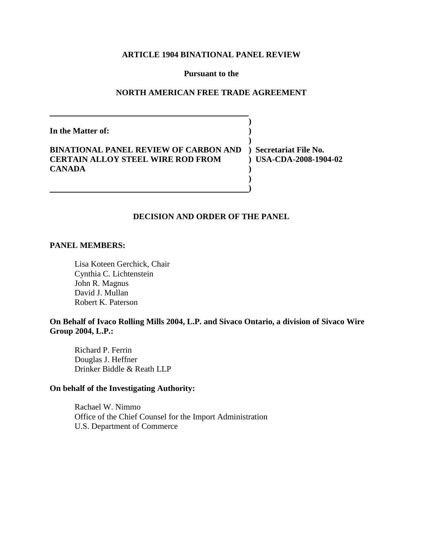# **ARTICLE 1904 BINATIONAL PANEL REVIEW**

### **Pursuant to the**

# **NORTH AMERICAN FREE TRADE AGREEMENT**

**)**

**)**

**) )**

**In the Matter of: )**

# **BINATIONAL PANEL REVIEW OF CARBON AND ) Secretariat File No. CERTAIN ALLOY STEEL WIRE ROD FROM ) USA-CDA-2008-1904-02 CANADA )**

# **DECISION AND ORDER OF THE PANEL**

#### **PANEL MEMBERS:**

Lisa Koteen Gerchick, Chair Cynthia C. Lichtenstein John R. Magnus David J. Mullan Robert K. Paterson

# **On Behalf of Ivaco Rolling Mills 2004, L.P. and Sivaco Ontario, a division of Sivaco Wire Group 2004, L.P.:**

Richard P. Ferrin Douglas J. Heffner Drinker Biddle & Reath LLP

# **On behalf of the Investigating Authority:**

Rachael W. Nimmo Office of the Chief Counsel for the Import Administration U.S. Department of Commerce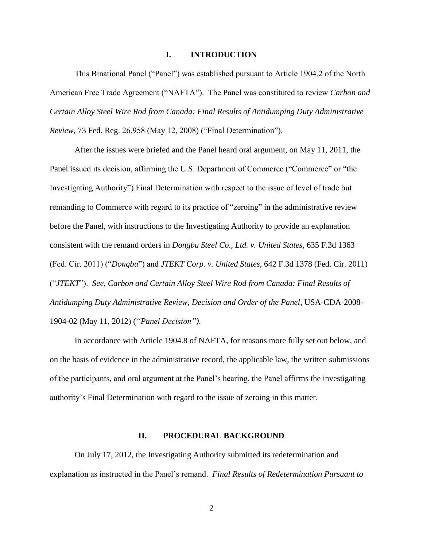### **I. INTRODUCTION**

This Binational Panel ("Panel") was established pursuant to Article 1904.2 of the North American Free Trade Agreement ("NAFTA"). The Panel was constituted to review *Carbon and Certain Alloy Steel Wire Rod from Canada: Final Results of Antidumping Duty Administrative Review*, 73 Fed. Reg. 26,958 (May 12, 2008) ("Final Determination").

After the issues were briefed and the Panel heard oral argument, on May 11, 2011, the Panel issued its decision, affirming the U.S. Department of Commerce ("Commerce" or "the Investigating Authority") Final Determination with respect to the issue of level of trade but remanding to Commerce with regard to its practice of "zeroing" in the administrative review before the Panel, with instructions to the Investigating Authority to provide an explanation consistent with the remand orders in *Dongbu Steel Co., Ltd. v. United States*, 635 F.3d 1363 (Fed. Cir. 2011) ("*Dongbu*") and *JTEKT Corp. v. United States*, 642 F.3d 1378 (Fed. Cir. 2011) ("*JTEKT*"). *See, Carbon and Certain Alloy Steel Wire Rod from Canada: Final Results of Antidumping Duty Administrative Review, Decision and Order of the Panel*, USA-CDA-2008- 1904-02 (May 11, 2012) (*"Panel Decision")*.

In accordance with Article 1904.8 of NAFTA, for reasons more fully set out below, and on the basis of evidence in the administrative record, the applicable law, the written submissions of the participants, and oral argument at the Panel's hearing, the Panel affirms the investigating authority's Final Determination with regard to the issue of zeroing in this matter.

### **II. PROCEDURAL BACKGROUND**

On July 17, 2012, the Investigating Authority submitted its redetermination and explanation as instructed in the Panel's remand. *Final Results of Redetermination Pursuant to*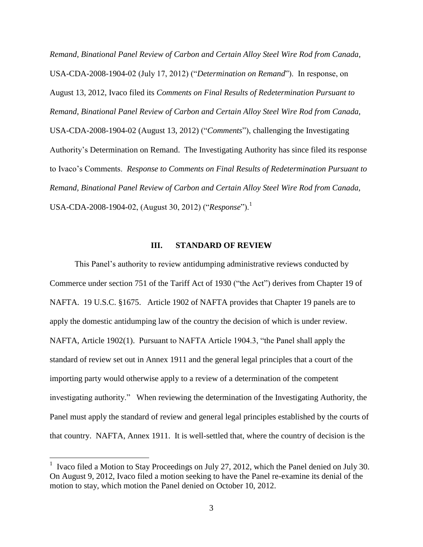*Remand, Binational Panel Review of Carbon and Certain Alloy Steel Wire Rod from Canada,*  USA-CDA-2008-1904-02 (July 17, 2012) ("*Determination on Remand*"). In response, on August 13, 2012, Ivaco filed its *Comments on Final Results of Redetermination Pursuant to Remand, Binational Panel Review of Carbon and Certain Alloy Steel Wire Rod from Canada,*  USA-CDA-2008-1904-02 (August 13, 2012) ("*Comments*"), challenging the Investigating Authority's Determination on Remand. The Investigating Authority has since filed its response to Ivaco's Comments. *Response to Comments on Final Results of Redetermination Pursuant to Remand, Binational Panel Review of Carbon and Certain Alloy Steel Wire Rod from Canada,*  USA-CDA-2008-1904-02, (August 30, 2012) ("*Response*").<sup>1</sup>

#### **III. STANDARD OF REVIEW**

This Panel's authority to review antidumping administrative reviews conducted by Commerce under section 751 of the Tariff Act of 1930 ("the Act") derives from Chapter 19 of NAFTA. 19 U.S.C. §1675. Article 1902 of NAFTA provides that Chapter 19 panels are to apply the domestic antidumping law of the country the decision of which is under review. NAFTA, Article 1902(1). Pursuant to NAFTA Article 1904.3, "the Panel shall apply the standard of review set out in Annex 1911 and the general legal principles that a court of the importing party would otherwise apply to a review of a determination of the competent investigating authority." When reviewing the determination of the Investigating Authority, the Panel must apply the standard of review and general legal principles established by the courts of that country. NAFTA, Annex 1911. It is well-settled that, where the country of decision is the

 $\overline{a}$ 

<sup>&</sup>lt;sup>1</sup> Ivaco filed a Motion to Stay Proceedings on July 27, 2012, which the Panel denied on July 30. On August 9, 2012, Ivaco filed a motion seeking to have the Panel re-examine its denial of the motion to stay, which motion the Panel denied on October 10, 2012.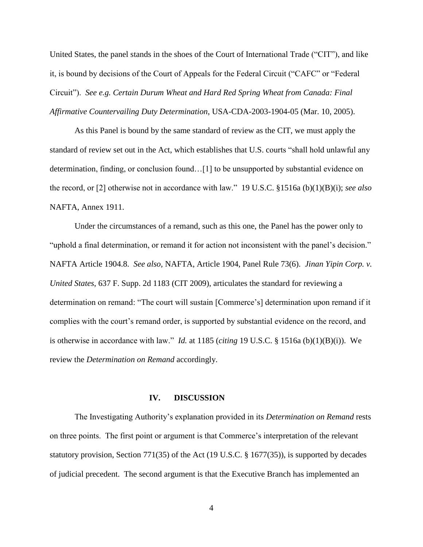United States, the panel stands in the shoes of the Court of International Trade ("CIT"), and like it, is bound by decisions of the Court of Appeals for the Federal Circuit ("CAFC" or "Federal Circuit"). *See e.g. Certain Durum Wheat and Hard Red Spring Wheat from Canada: Final Affirmative Countervailing Duty Determination*, USA-CDA-2003-1904-05 (Mar. 10, 2005).

As this Panel is bound by the same standard of review as the CIT, we must apply the standard of review set out in the Act, which establishes that U.S. courts "shall hold unlawful any determination, finding, or conclusion found…[1] to be unsupported by substantial evidence on the record, or [2] otherwise not in accordance with law." 19 U.S.C. §1516a (b)(1)(B)(i); *see also*  NAFTA, Annex 1911.

Under the circumstances of a remand, such as this one, the Panel has the power only to "uphold a final determination, or remand it for action not inconsistent with the panel's decision." NAFTA Article 1904.8. *See also,* NAFTA, Article 1904, Panel Rule 73(6). *Jinan Yipin Corp. v. United States*, 637 F. Supp. 2d 1183 (CIT 2009), articulates the standard for reviewing a determination on remand: "The court will sustain [Commerce's] determination upon remand if it complies with the court's remand order, is supported by substantial evidence on the record, and is otherwise in accordance with law." *Id.* at 1185 (*citing* 19 U.S.C. § 1516a (b)(1)(B)(i)). We review the *Determination on Remand* accordingly.

#### **IV. DISCUSSION**

The Investigating Authority's explanation provided in its *Determination on Remand* rests on three points. The first point or argument is that Commerce's interpretation of the relevant statutory provision, Section 771(35) of the Act (19 U.S.C. § 1677(35)), is supported by decades of judicial precedent. The second argument is that the Executive Branch has implemented an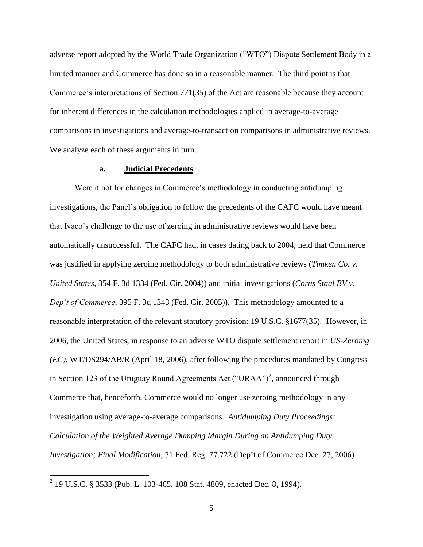adverse report adopted by the World Trade Organization ("WTO") Dispute Settlement Body in a limited manner and Commerce has done so in a reasonable manner. The third point is that Commerce's interpretations of Section 771(35) of the Act are reasonable because they account for inherent differences in the calculation methodologies applied in average-to-average comparisons in investigations and average-to-transaction comparisons in administrative reviews. We analyze each of these arguments in turn.

### **a. Judicial Precedents**

Were it not for changes in Commerce's methodology in conducting antidumping investigations, the Panel's obligation to follow the precedents of the CAFC would have meant that Ivaco's challenge to the use of zeroing in administrative reviews would have been automatically unsuccessful. The CAFC had, in cases dating back to 2004, held that Commerce was justified in applying zeroing methodology to both administrative reviews (*Timken Co. v. United States*, 354 F. 3d 1334 (Fed. Cir. 2004)) and initial investigations (*Corus Staal BV v. Dep't of Commerce*, 395 F. 3d 1343 (Fed. Cir. 2005)). This methodology amounted to a reasonable interpretation of the relevant statutory provision: 19 U.S.C. §1677(35). However, in 2006, the United States, in response to an adverse WTO dispute settlement report in *US-Zeroing (EC)*, WT/DS294/AB/R (April 18, 2006), after following the procedures mandated by Congress in Section 123 of the Uruguay Round Agreements Act ("URAA")<sup>2</sup>, announced through Commerce that, henceforth, Commerce would no longer use zeroing methodology in any investigation using average-to-average comparisons. *Antidumping Duty Proceedings: Calculation of the Weighted Average Dumping Margin During an Antidumping Duty Investigation; Final Modification*, 71 Fed. Reg. 77,722 (Dep't of Commerce Dec. 27, 2006)

 2 19 U.S.C. § 3533 (Pub. L. 103-465, 108 Stat. 4809, enacted Dec. 8, 1994).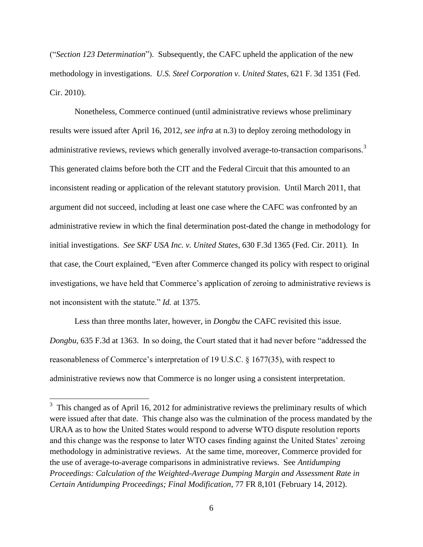("*Section 123 Determination*"). Subsequently, the CAFC upheld the application of the new methodology in investigations. *U.S. Steel Corporation v. United States*, 621 F. 3d 1351 (Fed. Cir. 2010).

Nonetheless, Commerce continued (until administrative reviews whose preliminary results were issued after April 16, 2012, *see infra* at n.3) to deploy zeroing methodology in administrative reviews, reviews which generally involved average-to-transaction comparisons.<sup>3</sup> This generated claims before both the CIT and the Federal Circuit that this amounted to an inconsistent reading or application of the relevant statutory provision. Until March 2011, that argument did not succeed, including at least one case where the CAFC was confronted by an administrative review in which the final determination post-dated the change in methodology for initial investigations. *See SKF USA Inc. v. United States*, 630 F.3d 1365 (Fed. Cir. 2011). In that case, the Court explained, "Even after Commerce changed its policy with respect to original investigations, we have held that Commerce's application of zeroing to administrative reviews is not inconsistent with the statute." *Id.* at 1375.

Less than three months later, however, in *Dongbu* the CAFC revisited this issue. *Dongbu,* 635 F.3d at 1363. In so doing, the Court stated that it had never before "addressed the reasonableness of Commerce's interpretation of 19 U.S.C. § 1677(35), with respect to administrative reviews now that Commerce is no longer using a consistent interpretation.

 $\overline{a}$ 

 $3$  This changed as of April 16, 2012 for administrative reviews the preliminary results of which were issued after that date. This change also was the culmination of the process mandated by the URAA as to how the United States would respond to adverse WTO dispute resolution reports and this change was the response to later WTO cases finding against the United States' zeroing methodology in administrative reviews. At the same time, moreover, Commerce provided for the use of average-to-average comparisons in administrative reviews. See *Antidumping Proceedings: Calculation of the Weighted-Average Dumping Margin and Assessment Rate in Certain Antidumping Proceedings; Final Modification*, 77 FR 8,101 (February 14, 2012).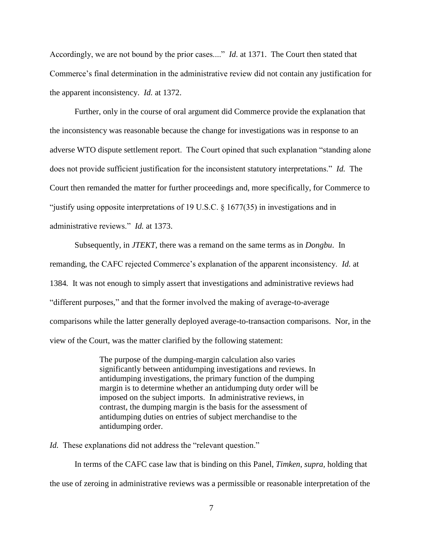Accordingly, we are not bound by the prior cases...." *Id*. at 1371. The Court then stated that Commerce's final determination in the administrative review did not contain any justification for the apparent inconsistency. *Id.* at 1372.

Further, only in the course of oral argument did Commerce provide the explanation that the inconsistency was reasonable because the change for investigations was in response to an adverse WTO dispute settlement report. The Court opined that such explanation "standing alone does not provide sufficient justification for the inconsistent statutory interpretations." *Id.* The Court then remanded the matter for further proceedings and, more specifically, for Commerce to "justify using opposite interpretations of 19 U.S.C. § 1677(35) in investigations and in administrative reviews." *Id.* at 1373.

Subsequently, in *JTEKT*, there was a remand on the same terms as in *Dongbu*. In remanding, the CAFC rejected Commerce's explanation of the apparent inconsistency. *Id.* at 1384*.* It was not enough to simply assert that investigations and administrative reviews had "different purposes," and that the former involved the making of average-to-average comparisons while the latter generally deployed average-to-transaction comparisons. Nor, in the view of the Court, was the matter clarified by the following statement:

> The purpose of the dumping-margin calculation also varies significantly between antidumping investigations and reviews. In antidumping investigations, the primary function of the dumping margin is to determine whether an antidumping duty order will be imposed on the subject imports. In administrative reviews, in contrast, the dumping margin is the basis for the assessment of antidumping duties on entries of subject merchandise to the antidumping order.

*Id.* These explanations did not address the "relevant question."

In terms of the CAFC case law that is binding on this Panel, *Timken*, *supra,* holding that the use of zeroing in administrative reviews was a permissible or reasonable interpretation of the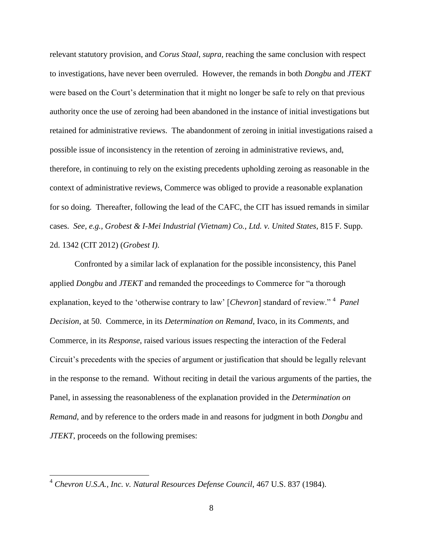relevant statutory provision, and *Corus Staal*, *supra,* reaching the same conclusion with respect to investigations, have never been overruled. However, the remands in both *Dongbu* and *JTEKT*  were based on the Court's determination that it might no longer be safe to rely on that previous authority once the use of zeroing had been abandoned in the instance of initial investigations but retained for administrative reviews. The abandonment of zeroing in initial investigations raised a possible issue of inconsistency in the retention of zeroing in administrative reviews, and, therefore, in continuing to rely on the existing precedents upholding zeroing as reasonable in the context of administrative reviews, Commerce was obliged to provide a reasonable explanation for so doing. Thereafter, following the lead of the CAFC, the CIT has issued remands in similar cases. *See, e.g., Grobest & I-Mei Industrial (Vietnam) Co., Ltd. v. United States*, 815 F. Supp. 2d. 1342 (CIT 2012) (*Grobest I)*.

Confronted by a similar lack of explanation for the possible inconsistency, this Panel applied *Dongbu* and *JTEKT* and remanded the proceedings to Commerce for "a thorough explanation, keyed to the 'otherwise contrary to law' [*Chevron*] standard of review."<sup>4</sup> Panel *Decision,* at 50. Commerce, in its *Determination on Remand*, Ivaco, in its *Comments,* and Commerce, in its *Response*, raised various issues respecting the interaction of the Federal Circuit's precedents with the species of argument or justification that should be legally relevant in the response to the remand. Without reciting in detail the various arguments of the parties, the Panel, in assessing the reasonableness of the explanation provided in the *Determination on Remand*, and by reference to the orders made in and reasons for judgment in both *Dongbu* and *JTEKT*, proceeds on the following premises:

 $\overline{a}$ 

<sup>4</sup> *Chevron U.S.A., Inc. v. Natural Resources Defense Council*, 467 U.S. 837 (1984).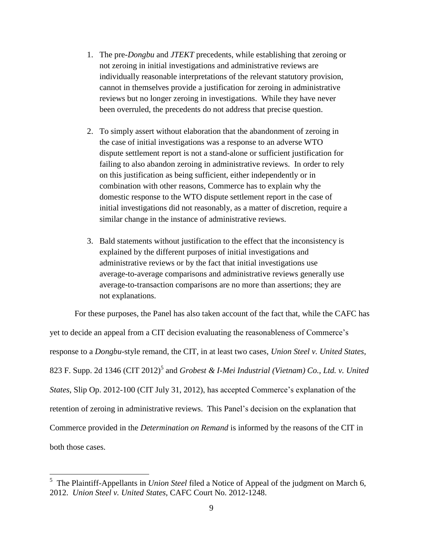- 1. The pre-*Dongbu* and *JTEKT* precedents, while establishing that zeroing or not zeroing in initial investigations and administrative reviews are individually reasonable interpretations of the relevant statutory provision, cannot in themselves provide a justification for zeroing in administrative reviews but no longer zeroing in investigations. While they have never been overruled, the precedents do not address that precise question.
- 2. To simply assert without elaboration that the abandonment of zeroing in the case of initial investigations was a response to an adverse WTO dispute settlement report is not a stand-alone or sufficient justification for failing to also abandon zeroing in administrative reviews. In order to rely on this justification as being sufficient, either independently or in combination with other reasons, Commerce has to explain why the domestic response to the WTO dispute settlement report in the case of initial investigations did not reasonably, as a matter of discretion, require a similar change in the instance of administrative reviews.
- 3. Bald statements without justification to the effect that the inconsistency is explained by the different purposes of initial investigations and administrative reviews or by the fact that initial investigations use average-to-average comparisons and administrative reviews generally use average-to-transaction comparisons are no more than assertions; they are not explanations.

For these purposes, the Panel has also taken account of the fact that, while the CAFC has yet to decide an appeal from a CIT decision evaluating the reasonableness of Commerce's response to a *Dongbu*-style remand, the CIT, in at least two cases, *Union Steel v. United States*, 823 F. Supp. 2d 1346 (CIT 2012)<sup>5</sup> and *Grobest & I-Mei Industrial (Vietnam) Co., Ltd. v. United States*, Slip Op. 2012-100 (CIT July 31, 2012), has accepted Commerce's explanation of the retention of zeroing in administrative reviews. This Panel's decision on the explanation that Commerce provided in the *Determination on Remand* is informed by the reasons of the CIT in both those cases.

 5 The Plaintiff-Appellants in *Union Steel* filed a Notice of Appeal of the judgment on March 6, 2012. *Union Steel v. United States*, CAFC Court No. 2012-1248.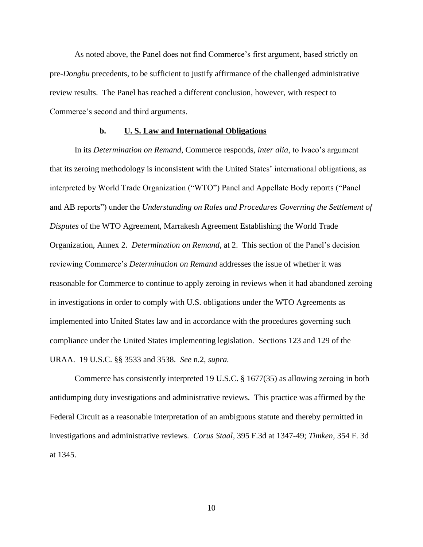As noted above, the Panel does not find Commerce's first argument, based strictly on pre-*Dongbu* precedents, to be sufficient to justify affirmance of the challenged administrative review results. The Panel has reached a different conclusion, however, with respect to Commerce's second and third arguments.

# **b. U. S. Law and International Obligations**

In its *Determination on Remand*, Commerce responds, *inter alia*, to Ivaco's argument that its zeroing methodology is inconsistent with the United States' international obligations, as interpreted by World Trade Organization ("WTO") Panel and Appellate Body reports ("Panel and AB reports") under the *Understanding on Rules and Procedures Governing the Settlement of Disputes* of the WTO Agreement, Marrakesh Agreement Establishing the World Trade Organization, Annex 2. *Determination on Remand,* at 2. This section of the Panel's decision reviewing Commerce's *Determination on Remand* addresses the issue of whether it was reasonable for Commerce to continue to apply zeroing in reviews when it had abandoned zeroing in investigations in order to comply with U.S. obligations under the WTO Agreements as implemented into United States law and in accordance with the procedures governing such compliance under the United States implementing legislation. Sections 123 and 129 of the URAA. 19 U.S.C. §§ 3533 and 3538. *See* n.2, *supra.*

Commerce has consistently interpreted 19 U.S.C. § 1677(35) as allowing zeroing in both antidumping duty investigations and administrative reviews. This practice was affirmed by the Federal Circuit as a reasonable interpretation of an ambiguous statute and thereby permitted in investigations and administrative reviews. *Corus Staal,* 395 F.3d at 1347-49; *Timken,* 354 F. 3d at 1345.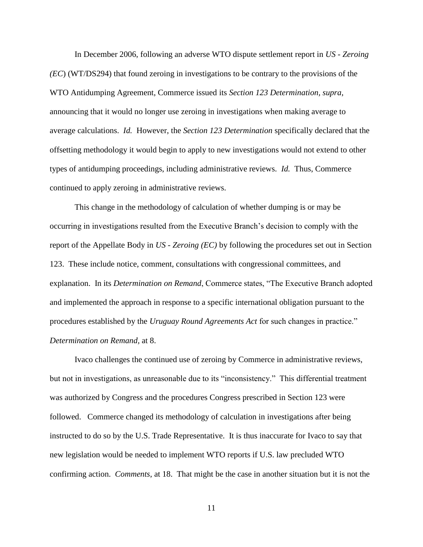In December 2006, following an adverse WTO dispute settlement report in *US - Zeroing (EC*) (WT/DS294) that found zeroing in investigations to be contrary to the provisions of the WTO Antidumping Agreement, Commerce issued its *Section 123 Determination, supra*, announcing that it would no longer use zeroing in investigations when making average to average calculations. *Id.* However, the *Section 123 Determination* specifically declared that the offsetting methodology it would begin to apply to new investigations would not extend to other types of antidumping proceedings, including administrative reviews. *Id.* Thus, Commerce continued to apply zeroing in administrative reviews.

This change in the methodology of calculation of whether dumping is or may be occurring in investigations resulted from the Executive Branch's decision to comply with the report of the Appellate Body in *US - Zeroing (EC)* by following the procedures set out in Section 123. These include notice, comment, consultations with congressional committees, and explanation. In its *Determination on Remand*, Commerce states, "The Executive Branch adopted and implemented the approach in response to a specific international obligation pursuant to the procedures established by the *Uruguay Round Agreements Act* for such changes in practice." *Determination on Remand,* at 8.

Ivaco challenges the continued use of zeroing by Commerce in administrative reviews, but not in investigations, as unreasonable due to its "inconsistency." This differential treatment was authorized by Congress and the procedures Congress prescribed in Section 123 were followed. Commerce changed its methodology of calculation in investigations after being instructed to do so by the U.S. Trade Representative. It is thus inaccurate for Ivaco to say that new legislation would be needed to implement WTO reports if U.S. law precluded WTO confirming action. *Comments*, at 18. That might be the case in another situation but it is not the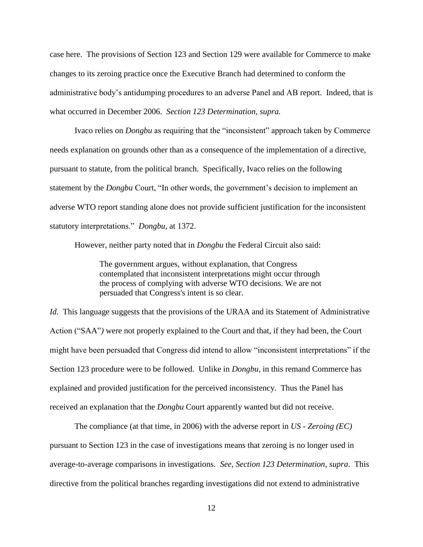case here. The provisions of Section 123 and Section 129 were available for Commerce to make changes to its zeroing practice once the Executive Branch had determined to conform the administrative body's antidumping procedures to an adverse Panel and AB report. Indeed, that is what occurred in December 2006. *Section 123 Determination, supra.*

Ivaco relies on *Dongbu* as requiring that the "inconsistent" approach taken by Commerce needs explanation on grounds other than as a consequence of the implementation of a directive, pursuant to statute, from the political branch. Specifically, Ivaco relies on the following statement by the *Dongbu* Court, "In other words, the government's decision to implement an adverse WTO report standing alone does not provide sufficient justification for the inconsistent statutory interpretations." *Dongbu,* at 1372.

However, neither party noted that in *Dongbu* the Federal Circuit also said:

The government argues, without explanation, that Congress contemplated that inconsistent interpretations might occur through the process of complying with adverse WTO decisions. We are not persuaded that Congress's intent is so clear.

*Id.* This language suggests that the provisions of the URAA and its Statement of Administrative Action ("SAA"*)* were not properly explained to the Court and that, if they had been, the Court might have been persuaded that Congress did intend to allow "inconsistent interpretations" if the Section 123 procedure were to be followed. Unlike in *Dongbu,* in this remand Commerce has explained and provided justification for the perceived inconsistency. Thus the Panel has received an explanation that the *Dongbu* Court apparently wanted but did not receive.

The compliance (at that time, in 2006) with the adverse report in *US - Zeroing (EC)* pursuant to Section 123 in the case of investigations means that zeroing is no longer used in average-to-average comparisons in investigations. *See, Section 123 Determination*, *supra*. This directive from the political branches regarding investigations did not extend to administrative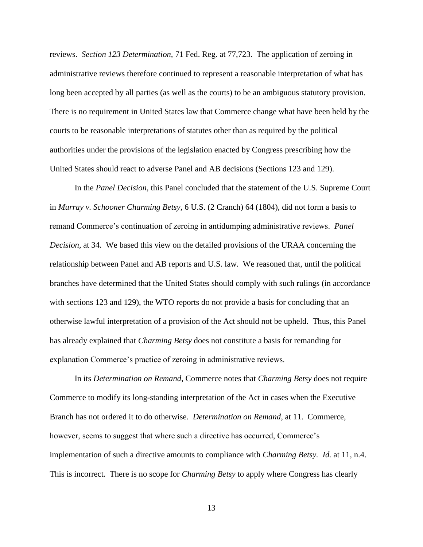reviews. *Section 123 Determination,* 71 Fed. Reg. at 77,723. The application of zeroing in administrative reviews therefore continued to represent a reasonable interpretation of what has long been accepted by all parties (as well as the courts) to be an ambiguous statutory provision. There is no requirement in United States law that Commerce change what have been held by the courts to be reasonable interpretations of statutes other than as required by the political authorities under the provisions of the legislation enacted by Congress prescribing how the United States should react to adverse Panel and AB decisions (Sections 123 and 129).

In the *Panel Decision*, this Panel concluded that the statement of the U.S. Supreme Court in *Murray v. Schooner Charming Betsy,* 6 U.S. (2 Cranch) 64 (1804), did not form a basis to remand Commerce's continuation of zeroing in antidumping administrative reviews. *Panel Decision,* at 34. We based this view on the detailed provisions of the URAA concerning the relationship between Panel and AB reports and U.S. law. We reasoned that, until the political branches have determined that the United States should comply with such rulings (in accordance with sections 123 and 129), the WTO reports do not provide a basis for concluding that an otherwise lawful interpretation of a provision of the Act should not be upheld. Thus, this Panel has already explained that *Charming Betsy* does not constitute a basis for remanding for explanation Commerce's practice of zeroing in administrative reviews.

In its *Determination on Remand*, Commerce notes that *Charming Betsy* does not require Commerce to modify its long-standing interpretation of the Act in cases when the Executive Branch has not ordered it to do otherwise. *Determination on Remand,* at 11. Commerce, however, seems to suggest that where such a directive has occurred, Commerce's implementation of such a directive amounts to compliance with *Charming Betsy. Id.* at 11, n.4. This is incorrect. There is no scope for *Charming Betsy* to apply where Congress has clearly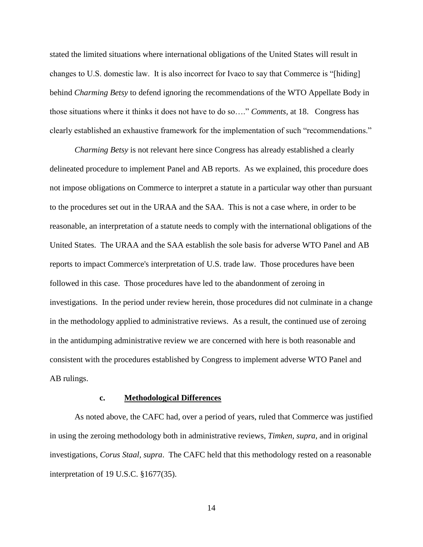stated the limited situations where international obligations of the United States will result in changes to U.S. domestic law. It is also incorrect for Ivaco to say that Commerce is "[hiding] behind *Charming Betsy* to defend ignoring the recommendations of the WTO Appellate Body in those situations where it thinks it does not have to do so…." *Comments,* at 18. Congress has clearly established an exhaustive framework for the implementation of such "recommendations."

*Charming Betsy* is not relevant here since Congress has already established a clearly delineated procedure to implement Panel and AB reports. As we explained, this procedure does not impose obligations on Commerce to interpret a statute in a particular way other than pursuant to the procedures set out in the URAA and the SAA. This is not a case where, in order to be reasonable, an interpretation of a statute needs to comply with the international obligations of the United States. The URAA and the SAA establish the sole basis for adverse WTO Panel and AB reports to impact Commerce's interpretation of U.S. trade law. Those procedures have been followed in this case. Those procedures have led to the abandonment of zeroing in investigations. In the period under review herein, those procedures did not culminate in a change in the methodology applied to administrative reviews. As a result, the continued use of zeroing in the antidumping administrative review we are concerned with here is both reasonable and consistent with the procedures established by Congress to implement adverse WTO Panel and AB rulings.

#### **c. Methodological Differences**

As noted above, the CAFC had, over a period of years, ruled that Commerce was justified in using the zeroing methodology both in administrative reviews, *Timken, supra,* and in original investigations, *Corus Staal, supra*. The CAFC held that this methodology rested on a reasonable interpretation of 19 U.S.C. §1677(35).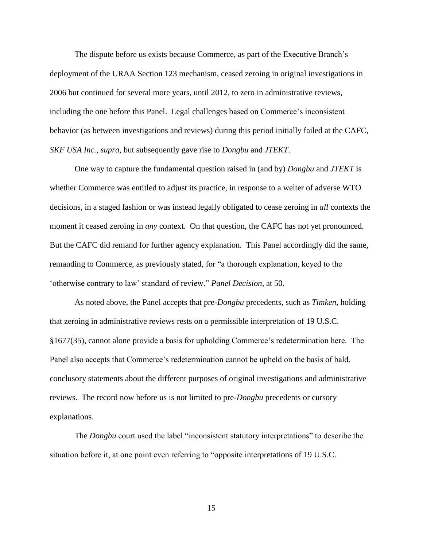The dispute before us exists because Commerce, as part of the Executive Branch's deployment of the URAA Section 123 mechanism, ceased zeroing in original investigations in 2006 but continued for several more years, until 2012, to zero in administrative reviews, including the one before this Panel. Legal challenges based on Commerce's inconsistent behavior (as between investigations and reviews) during this period initially failed at the CAFC, *SKF USA Inc., supra,* but subsequently gave rise to *Dongbu* and *JTEKT*.

One way to capture the fundamental question raised in (and by) *Dongbu* and *JTEKT* is whether Commerce was entitled to adjust its practice, in response to a welter of adverse WTO decisions, in a staged fashion or was instead legally obligated to cease zeroing in *all* contexts the moment it ceased zeroing in *any* context. On that question, the CAFC has not yet pronounced. But the CAFC did remand for further agency explanation. This Panel accordingly did the same, remanding to Commerce, as previously stated, for "a thorough explanation, keyed to the 'otherwise contrary to law' standard of review." *Panel Decision,* at 50.

As noted above, the Panel accepts that pre-*Dongbu* precedents, such as *Timken*, holding that zeroing in administrative reviews rests on a permissible interpretation of 19 U.S.C. §1677(35), cannot alone provide a basis for upholding Commerce's redetermination here. The Panel also accepts that Commerce's redetermination cannot be upheld on the basis of bald, conclusory statements about the different purposes of original investigations and administrative reviews. The record now before us is not limited to pre-*Dongbu* precedents or cursory explanations.

The *Dongbu* court used the label "inconsistent statutory interpretations" to describe the situation before it, at one point even referring to "opposite interpretations of 19 U.S.C.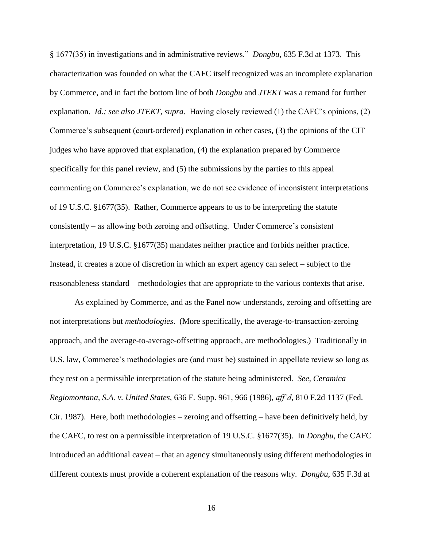§ 1677(35) in investigations and in administrative reviews." *Dongbu*, 635 F.3d at 1373. This characterization was founded on what the CAFC itself recognized was an incomplete explanation by Commerce, and in fact the bottom line of both *Dongbu* and *JTEKT* was a remand for further explanation. *Id.; see also JTEKT, supra.* Having closely reviewed (1) the CAFC's opinions, (2) Commerce's subsequent (court-ordered) explanation in other cases, (3) the opinions of the CIT judges who have approved that explanation, (4) the explanation prepared by Commerce specifically for this panel review, and (5) the submissions by the parties to this appeal commenting on Commerce's explanation, we do not see evidence of inconsistent interpretations of 19 U.S.C. §1677(35). Rather, Commerce appears to us to be interpreting the statute consistently – as allowing both zeroing and offsetting. Under Commerce's consistent interpretation, 19 U.S.C. §1677(35) mandates neither practice and forbids neither practice. Instead, it creates a zone of discretion in which an expert agency can select – subject to the reasonableness standard – methodologies that are appropriate to the various contexts that arise.

As explained by Commerce, and as the Panel now understands, zeroing and offsetting are not interpretations but *methodologies*. (More specifically, the average-to-transaction-zeroing approach, and the average-to-average-offsetting approach, are methodologies.) Traditionally in U.S. law, Commerce's methodologies are (and must be) sustained in appellate review so long as they rest on a permissible interpretation of the statute being administered. *See, Ceramica Regiomontana, S.A. v. United States,* 636 F. Supp. 961, 966 (1986), *aff'd*, 810 F.2d 1137 (Fed. Cir. 1987). Here, both methodologies – zeroing and offsetting – have been definitively held, by the CAFC, to rest on a permissible interpretation of 19 U.S.C. §1677(35). In *Dongbu*, the CAFC introduced an additional caveat – that an agency simultaneously using different methodologies in different contexts must provide a coherent explanation of the reasons why. *Dongbu,* 635 F.3d at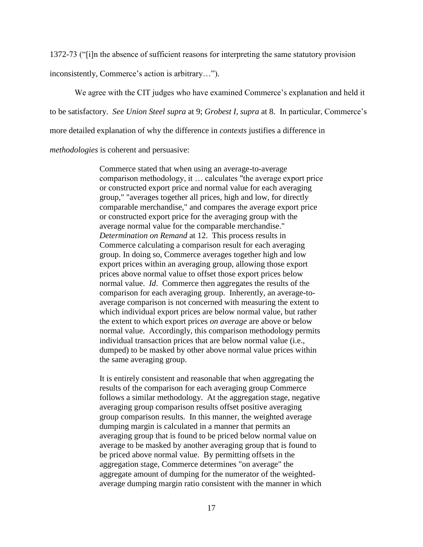1372-73 ("[i]n the absence of sufficient reasons for interpreting the same statutory provision

inconsistently, Commerce's action is arbitrary…").

We agree with the CIT judges who have examined Commerce's explanation and held it

to be satisfactory. *See Union Steel supra* at 9; *Grobest I, supra* at 8. In particular, Commerce's

more detailed explanation of why the difference in *contexts* justifies a difference in

*methodologies* is coherent and persuasive:

Commerce stated that when using an average-to-average comparison methodology, it … calculates "the average export price or constructed export price and normal value for each averaging group," "averages together all prices, high and low, for directly comparable merchandise," and compares the average export price or constructed export price for the averaging group with the average normal value for the comparable merchandise." *Determination on Remand* at 12. This process results in Commerce calculating a comparison result for each averaging group. In doing so, Commerce averages together high and low export prices within an averaging group, allowing those export prices above normal value to offset those export prices below normal value. *Id*. Commerce then aggregates the results of the comparison for each averaging group. Inherently, an average-toaverage comparison is not concerned with measuring the extent to which individual export prices are below normal value, but rather the extent to which export prices *on average* are above or below normal value. Accordingly, this comparison methodology permits individual transaction prices that are below normal value (i.e., dumped) to be masked by other above normal value prices within the same averaging group.

It is entirely consistent and reasonable that when aggregating the results of the comparison for each averaging group Commerce follows a similar methodology. At the aggregation stage, negative averaging group comparison results offset positive averaging group comparison results. In this manner, the weighted average dumping margin is calculated in a manner that permits an averaging group that is found to be priced below normal value on average to be masked by another averaging group that is found to be priced above normal value. By permitting offsets in the aggregation stage, Commerce determines "on average" the aggregate amount of dumping for the numerator of the weightedaverage dumping margin ratio consistent with the manner in which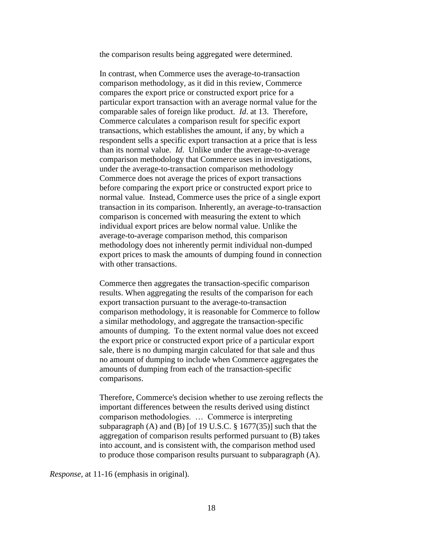the comparison results being aggregated were determined.

In contrast, when Commerce uses the average-to-transaction comparison methodology, as it did in this review, Commerce compares the export price or constructed export price for a particular export transaction with an average normal value for the comparable sales of foreign like product. *Id*. at 13. Therefore, Commerce calculates a comparison result for specific export transactions, which establishes the amount, if any, by which a respondent sells a specific export transaction at a price that is less than its normal value. *Id*. Unlike under the average-to-average comparison methodology that Commerce uses in investigations, under the average-to-transaction comparison methodology Commerce does not average the prices of export transactions before comparing the export price or constructed export price to normal value. Instead, Commerce uses the price of a single export transaction in its comparison. Inherently, an average-to-transaction comparison is concerned with measuring the extent to which individual export prices are below normal value. Unlike the average-to-average comparison method, this comparison methodology does not inherently permit individual non-dumped export prices to mask the amounts of dumping found in connection with other transactions.

Commerce then aggregates the transaction-specific comparison results. When aggregating the results of the comparison for each export transaction pursuant to the average-to-transaction comparison methodology, it is reasonable for Commerce to follow a similar methodology, and aggregate the transaction-specific amounts of dumping. To the extent normal value does not exceed the export price or constructed export price of a particular export sale, there is no dumping margin calculated for that sale and thus no amount of dumping to include when Commerce aggregates the amounts of dumping from each of the transaction-specific comparisons.

Therefore, Commerce's decision whether to use zeroing reflects the important differences between the results derived using distinct comparison methodologies. … Commerce is interpreting subparagraph  $(A)$  and  $(B)$  [of 19 U.S.C.  $\S$  1677(35)] such that the aggregation of comparison results performed pursuant to (B) takes into account, and is consistent with, the comparison method used to produce those comparison results pursuant to subparagraph (A).

*Response,* at 11-16 (emphasis in original).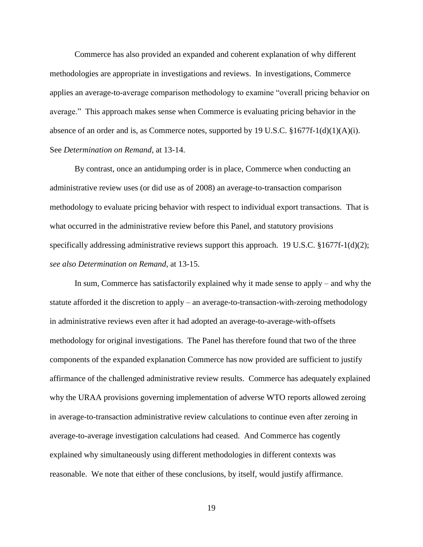Commerce has also provided an expanded and coherent explanation of why different methodologies are appropriate in investigations and reviews. In investigations, Commerce applies an average-to-average comparison methodology to examine "overall pricing behavior on average." This approach makes sense when Commerce is evaluating pricing behavior in the absence of an order and is, as Commerce notes, supported by 19 U.S.C.  $\S 1677f-1(d)(1)(A)(i)$ . See *Determination on Remand*, at 13-14.

By contrast, once an antidumping order is in place, Commerce when conducting an administrative review uses (or did use as of 2008) an average-to-transaction comparison methodology to evaluate pricing behavior with respect to individual export transactions. That is what occurred in the administrative review before this Panel, and statutory provisions specifically addressing administrative reviews support this approach. 19 U.S.C. §1677f-1(d)(2); *see also Determination on Remand,* at 13-15.

In sum, Commerce has satisfactorily explained why it made sense to apply – and why the statute afforded it the discretion to apply – an average-to-transaction-with-zeroing methodology in administrative reviews even after it had adopted an average-to-average-with-offsets methodology for original investigations. The Panel has therefore found that two of the three components of the expanded explanation Commerce has now provided are sufficient to justify affirmance of the challenged administrative review results. Commerce has adequately explained why the URAA provisions governing implementation of adverse WTO reports allowed zeroing in average-to-transaction administrative review calculations to continue even after zeroing in average-to-average investigation calculations had ceased. And Commerce has cogently explained why simultaneously using different methodologies in different contexts was reasonable. We note that either of these conclusions, by itself, would justify affirmance.